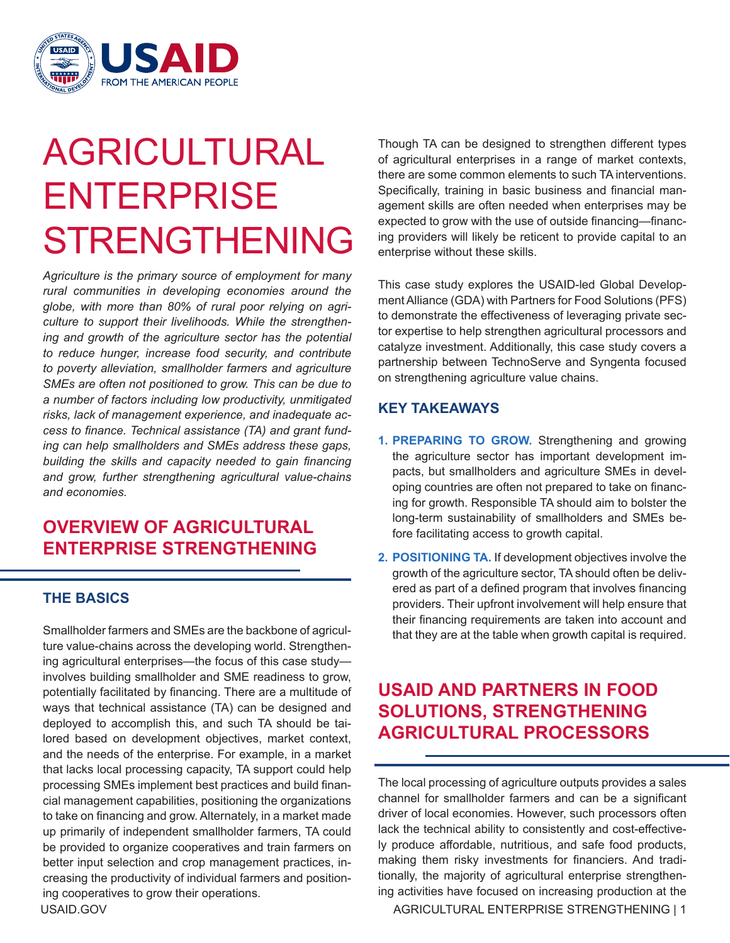

# AGRICULTURAL ENTERPRISE STRENGTHENING

*Agriculture is the primary source of employment for many rural communities in developing economies around the globe, with more than 80% of rural poor relying on agriculture to support their livelihoods. While the strengthening and growth of the agriculture sector has the potential to reduce hunger, increase food security, and contribute to poverty alleviation, smallholder farmers and agriculture SMEs are often not positioned to grow. This can be due to a number of factors including low productivity, unmitigated risks, lack of management experience, and inadequate access to finance. Technical assistance (TA) and grant funding can help smallholders and SMEs address these gaps, building the skills and capacity needed to gain financing and grow, further strengthening agricultural value-chains and economies.*

# **OVERVIEW OF AGRICULTURAL ENTERPRISE STRENGTHENING**

#### **THE BASICS**

Smallholder farmers and SMEs are the backbone of agriculture value-chains across the developing world. Strengthening agricultural enterprises—the focus of this case study involves building smallholder and SME readiness to grow, potentially facilitated by financing. There are a multitude of ways that technical assistance (TA) can be designed and deployed to accomplish this, and such TA should be tailored based on development objectives, market context, and the needs of the enterprise. For example, in a market that lacks local processing capacity, TA support could help processing SMEs implement best practices and build financial management capabilities, positioning the organizations to take on financing and grow. Alternately, in a market made up primarily of independent smallholder farmers, TA could be provided to organize cooperatives and train farmers on better input selection and crop management practices, increasing the productivity of individual farmers and positioning cooperatives to grow their operations.

Though TA can be designed to strengthen different types of agricultural enterprises in a range of market contexts, there are some common elements to such TA interventions. Specifically, training in basic business and financial management skills are often needed when enterprises may be expected to grow with the use of outside financing—financing providers will likely be reticent to provide capital to an enterprise without these skills.

This case study explores the USAID-led Global Development Alliance (GDA) with Partners for Food Solutions (PFS) to demonstrate the effectiveness of leveraging private sector expertise to help strengthen agricultural processors and catalyze investment. Additionally, this case study covers a partnership between TechnoServe and Syngenta focused on strengthening agriculture value chains.

#### **KEY TAKEAWAYS**

- **1. PREPARING TO GROW.** Strengthening and growing the agriculture sector has important development impacts, but smallholders and agriculture SMEs in developing countries are often not prepared to take on financing for growth. Responsible TA should aim to bolster the long-term sustainability of smallholders and SMEs before facilitating access to growth capital.
- **2. POSITIONING TA.** If development objectives involve the growth of the agriculture sector, TA should often be delivered as part of a defined program that involves financing providers. Their upfront involvement will help ensure that their financing requirements are taken into account and that they are at the table when growth capital is required.

# **USAID AND PARTNERS IN FOOD SOLUTIONS, STRENGTHENING AGRICULTURAL PROCESSORS**

The local processing of agriculture outputs provides a sales channel for smallholder farmers and can be a significant driver of local economies. However, such processors often lack the technical ability to consistently and cost-effectively produce affordable, nutritious, and safe food products, making them risky investments for financiers. And traditionally, the majority of agricultural enterprise strengthening activities have focused on increasing production at the

USAID.GOV AGRICULTURAL ENTERPRISE STRENGTHENING | 1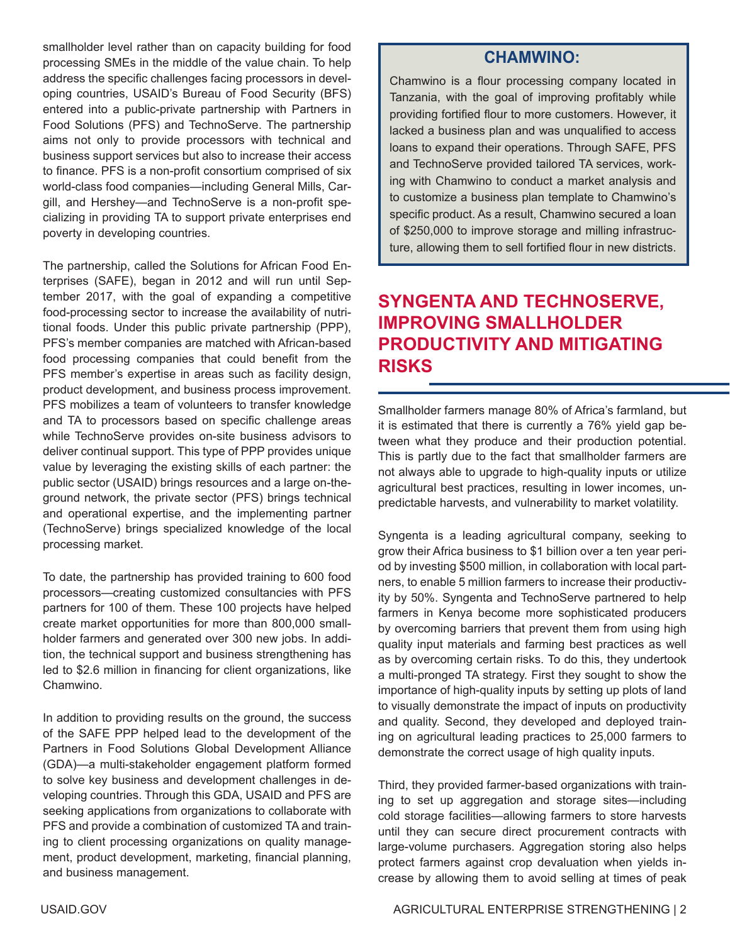smallholder level rather than on capacity building for food processing SMEs in the middle of the value chain. To help address the specific challenges facing processors in developing countries, USAID's Bureau of Food Security (BFS) entered into a public-private partnership with Partners in Food Solutions (PFS) and TechnoServe. The partnership aims not only to provide processors with technical and business support services but also to increase their access to finance. PFS is a non-profit consortium comprised of six world-class food companies—including General Mills, Cargill, and Hershey—and TechnoServe is a non-profit specializing in providing TA to support private enterprises end poverty in developing countries.

The partnership, called the Solutions for African Food Enterprises (SAFE), began in 2012 and will run until September 2017, with the goal of expanding a competitive food-processing sector to increase the availability of nutritional foods. Under this public private partnership (PPP), PFS's member companies are matched with African-based food processing companies that could benefit from the PFS member's expertise in areas such as facility design, product development, and business process improvement. PFS mobilizes a team of volunteers to transfer knowledge and TA to processors based on specific challenge areas while TechnoServe provides on-site business advisors to deliver continual support. This type of PPP provides unique value by leveraging the existing skills of each partner: the public sector (USAID) brings resources and a large on-theground network, the private sector (PFS) brings technical and operational expertise, and the implementing partner (TechnoServe) brings specialized knowledge of the local processing market.

To date, the partnership has provided training to 600 food processors—creating customized consultancies with PFS partners for 100 of them. These 100 projects have helped create market opportunities for more than 800,000 smallholder farmers and generated over 300 new jobs. In addition, the technical support and business strengthening has led to \$2.6 million in financing for client organizations, like Chamwino.

In addition to providing results on the ground, the success of the SAFE PPP helped lead to the development of the Partners in Food Solutions Global Development Alliance (GDA)—a multi-stakeholder engagement platform formed to solve key business and development challenges in developing countries. Through this GDA, USAID and PFS are seeking applications from organizations to collaborate with PFS and provide a combination of customized TA and training to client processing organizations on quality management, product development, marketing, financial planning, and business management.

### **CHAMWINO:**

Chamwino is a flour processing company located in Tanzania, with the goal of improving profitably while providing fortified flour to more customers. However, it lacked a business plan and was unqualified to access loans to expand their operations. Through SAFE, PFS and TechnoServe provided tailored TA services, working with Chamwino to conduct a market analysis and to customize a business plan template to Chamwino's specific product. As a result, Chamwino secured a loan of \$250,000 to improve storage and milling infrastructure, allowing them to sell fortified flour in new districts.

# **SYNGENTA AND TECHNOSERVE, IMPROVING SMALLHOLDER PRODUCTIVITY AND MITIGATING RISKS**

Smallholder farmers manage 80% of Africa's farmland, but it is estimated that there is currently a 76% yield gap between what they produce and their production potential. This is partly due to the fact that smallholder farmers are not always able to upgrade to high-quality inputs or utilize agricultural best practices, resulting in lower incomes, unpredictable harvests, and vulnerability to market volatility.

Syngenta is a leading agricultural company, seeking to grow their Africa business to \$1 billion over a ten year period by investing \$500 million, in collaboration with local partners, to enable 5 million farmers to increase their productivity by 50%. Syngenta and TechnoServe partnered to help farmers in Kenya become more sophisticated producers by overcoming barriers that prevent them from using high quality input materials and farming best practices as well as by overcoming certain risks. To do this, they undertook a multi-pronged TA strategy. First they sought to show the importance of high-quality inputs by setting up plots of land to visually demonstrate the impact of inputs on productivity and quality. Second, they developed and deployed training on agricultural leading practices to 25,000 farmers to demonstrate the correct usage of high quality inputs.

Third, they provided farmer-based organizations with training to set up aggregation and storage sites—including cold storage facilities—allowing farmers to store harvests until they can secure direct procurement contracts with large-volume purchasers. Aggregation storing also helps protect farmers against crop devaluation when yields increase by allowing them to avoid selling at times of peak